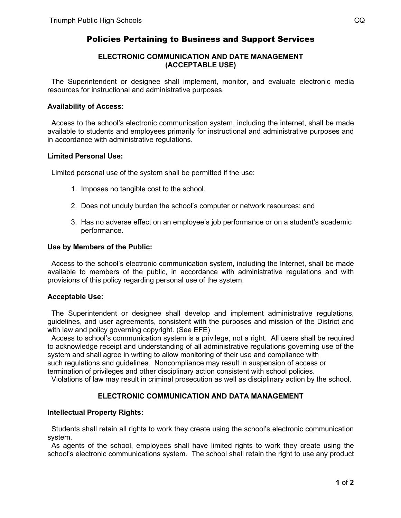# Policies Pertaining to Business and Support Services

## **ELECTRONIC COMMUNICATION AND DATE MANAGEMENT (ACCEPTABLE USE)**

 The Superintendent or designee shall implement, monitor, and evaluate electronic media resources for instructional and administrative purposes.

#### **Availability of Access:**

 Access to the school's electronic communication system, including the internet, shall be made available to students and employees primarily for instructional and administrative purposes and in accordance with administrative regulations.

## **Limited Personal Use:**

Limited personal use of the system shall be permitted if the use:

- 1. Imposes no tangible cost to the school.
- 2. Does not unduly burden the school's computer or network resources; and
- 3. Has no adverse effect on an employee's job performance or on a student's academic performance.

#### **Use by Members of the Public:**

 Access to the school's electronic communication system, including the Internet, shall be made available to members of the public, in accordance with administrative regulations and with provisions of this policy regarding personal use of the system.

## **Acceptable Use:**

 The Superintendent or designee shall develop and implement administrative regulations, guidelines, and user agreements, consistent with the purposes and mission of the District and with law and policy governing copyright. (See EFE)

 Access to school's communication system is a privilege, not a right. All users shall be required to acknowledge receipt and understanding of all administrative regulations governing use of the system and shall agree in writing to allow monitoring of their use and compliance with such regulations and guidelines. Noncompliance may result in suspension of access or termination of privileges and other disciplinary action consistent with school policies.

Violations of law may result in criminal prosecution as well as disciplinary action by the school.

# **ELECTRONIC COMMUNICATION AND DATA MANAGEMENT**

# **Intellectual Property Rights:**

 Students shall retain all rights to work they create using the school's electronic communication system.

 As agents of the school, employees shall have limited rights to work they create using the school's electronic communications system. The school shall retain the right to use any product